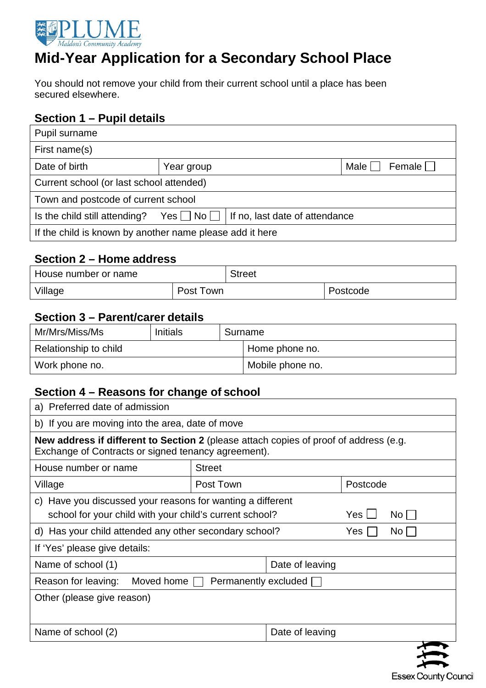

# **Mid-Year Application for a Secondary School Place**

You should not remove your child from their current school until a place has been secured elsewhere.

## **Section 1 – Pupil details**

| Pupil surname                                            |                    |                                |                            |  |  |
|----------------------------------------------------------|--------------------|--------------------------------|----------------------------|--|--|
| First name(s)                                            |                    |                                |                            |  |  |
| Date of birth                                            | Year group         |                                | Male  <br>Female $\lfloor$ |  |  |
| Current school (or last school attended)                 |                    |                                |                            |  |  |
| Town and postcode of current school                      |                    |                                |                            |  |  |
| Is the child still attending?                            | $Yes \Box No \Box$ | If no, last date of attendance |                            |  |  |
| If the child is known by another name please add it here |                    |                                |                            |  |  |

## **Section 2 – Home address**

| House number or name |           | <b>Street</b> |          |
|----------------------|-----------|---------------|----------|
| Village              | Post Town |               | Postcode |

## **Section 3 – Parent/carer details**

| Mr/Mrs/Miss/Ms        | <b>Initials</b> | Surname |                  |
|-----------------------|-----------------|---------|------------------|
| Relationship to child |                 |         | Home phone no.   |
| Work phone no.        |                 |         | Mobile phone no. |

## **Section 4 – Reasons for change of school**

| a) Preferred date of admission                                                                                                               |               |                 |          |  |  |
|----------------------------------------------------------------------------------------------------------------------------------------------|---------------|-----------------|----------|--|--|
| b) If you are moving into the area, date of move                                                                                             |               |                 |          |  |  |
| New address if different to Section 2 (please attach copies of proof of address (e.g.<br>Exchange of Contracts or signed tenancy agreement). |               |                 |          |  |  |
| House number or name                                                                                                                         | <b>Street</b> |                 |          |  |  |
| Village                                                                                                                                      | Post Town     |                 | Postcode |  |  |
| c) Have you discussed your reasons for wanting a different<br>Yes I<br>school for your child with your child's current school?<br>No l       |               |                 |          |  |  |
| d) Has your child attended any other secondary school?                                                                                       |               | Yes             | No l     |  |  |
| If 'Yes' please give details:                                                                                                                |               |                 |          |  |  |
| Name of school (1)                                                                                                                           |               | Date of leaving |          |  |  |
| Moved home<br>Reason for leaving:<br>Permanently excluded                                                                                    |               |                 |          |  |  |
| Other (please give reason)                                                                                                                   |               |                 |          |  |  |
| Name of school (2)                                                                                                                           |               | Date of leaving |          |  |  |
|                                                                                                                                              |               |                 |          |  |  |

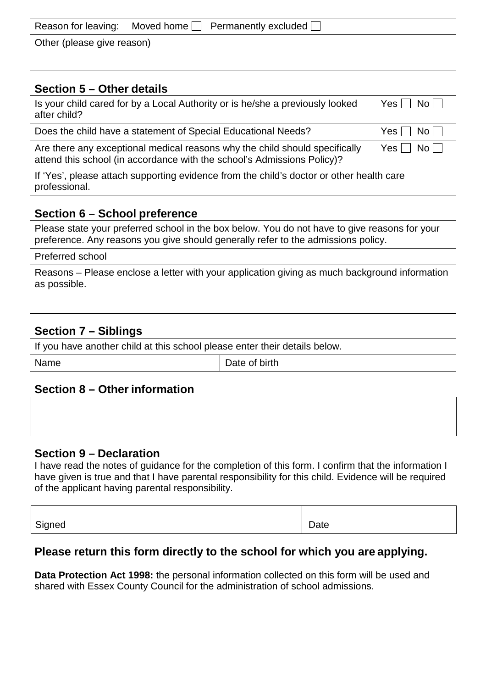|                            | Reason for leaving: Moved home $\Box$ Permanently excluded $\Box$ |
|----------------------------|-------------------------------------------------------------------|
| Other (please give reason) |                                                                   |
|                            |                                                                   |

## **Section 5 – Other details**

| Is your child cared for by a Local Authority or is he/she a previously looked<br>after child?                                                          | $Yes \Box No \Box$ |  |  |
|--------------------------------------------------------------------------------------------------------------------------------------------------------|--------------------|--|--|
| Does the child have a statement of Special Educational Needs?                                                                                          | $Yes \Box No \Box$ |  |  |
| Are there any exceptional medical reasons why the child should specifically<br>attend this school (in accordance with the school's Admissions Policy)? | Yes     No         |  |  |
| If 'Yes', please attach supporting evidence from the child's doctor or other health care<br>professional.                                              |                    |  |  |

## **Section 6 – School preference**

Please state your preferred school in the box below. You do not have to give reasons for your preference. Any reasons you give should generally refer to the admissions policy.

Preferred school

Reasons – Please enclose a letter with your application giving as much background information as possible.

## **Section 7 – Siblings**

If you have another child at this school please enter their details below.

Name **Date of birth** 

# **Section 8 – Other information**

## **Section 9 – Declaration**

I have read the notes of guidance for the completion of this form. I confirm that the information I have given is true and that I have parental responsibility for this child. Evidence will be required of the applicant having parental responsibility.

Signed Date **Date** 

# **Please return this form directly to the school for which you are applying.**

**Data Protection Act 1998:** the personal information collected on this form will be used and shared with Essex County Council for the administration of school admissions.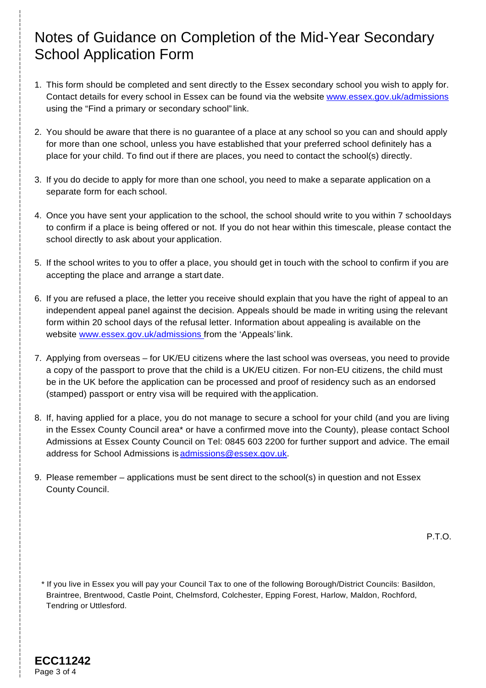# Notes of Guidance on Completion of the Mid-Year Secondary School Application Form

- 1. This form should be completed and sent directly to the Essex secondary school you wish to apply for. Contact details for every school in Essex can be found via the website [www.essex.gov.uk/admissions](http://www.essex.gov.uk/admissions)  using the "Find a primary or secondary school" link.
- 2. You should be aware that there is no guarantee of a place at any school so you can and should apply for more than one school, unless you have established that your preferred school definitely has a place for your child. To find out if there are places, you need to contact the school(s) directly.
- 3. If you do decide to apply for more than one school, you need to make a separate application on a separate form for each school.
- 4. Once you have sent your application to the school, the school should write to you within 7 schooldays to confirm if a place is being offered or not. If you do not hear within this timescale, please contact the school directly to ask about your application.
- 5. If the school writes to you to offer a place, you should get in touch with the school to confirm if you are accepting the place and arrange a start date.
- 6. If you are refused a place, the letter you receive should explain that you have the right of appeal to an independent appeal panel against the decision. Appeals should be made in writing using the relevant form within 20 school days of the refusal letter. Information about appealing is available on the website [www.essex.gov.uk/admissions f](http://www.essex.gov.uk/admissions)rom the 'Appeals' link.
- 7. Applying from overseas for UK/EU citizens where the last school was overseas, you need to provide a copy of the passport to prove that the child is a UK/EU citizen. For non-EU citizens, the child must be in the UK before the application can be processed and proof of residency such as an endorsed (stamped) passport or entry visa will be required with theapplication.
- 8. If, having applied for a place, you do not manage to secure a school for your child (and you are living in the Essex County Council area\* or have a confirmed move into the County), please contact School Admissions at Essex County Council on Tel: 0845 603 2200 for further support and advice. The email address for School Admissions is [admissions@essex.gov.uk.](mailto:admissions@essex.gov.uk)
- 9. Please remember applications must be sent direct to the school(s) in question and not Essex County Council.

P.T.O.

\* If you live in Essex you will pay your Council Tax to one of the following Borough/District Councils: Basildon, Braintree, Brentwood, Castle Point, Chelmsford, Colchester, Epping Forest, Harlow, Maldon, Rochford, Tendring or Uttlesford.